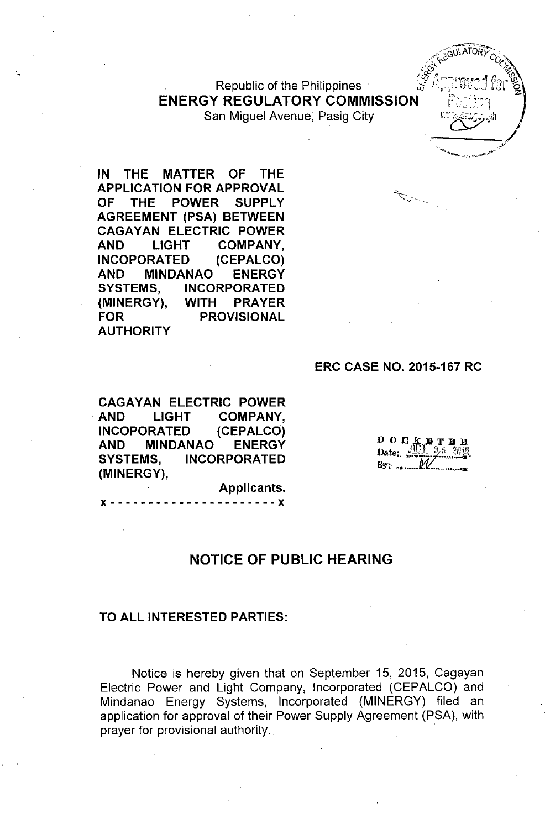Republic of the Philippines **ENERGY REGULATORY COMMISSION** San Miguel Avenue, Pasig City

**IN THE MATTER OF THE APPLICATION FOR APPROVAL OF THE POWER** SUPPLY **AGREEMENT (PSA) BETWEEN CAGA YAN ELECTRIC POWER AND LIGHT COMPANY, INCOPORATED (CEPALCO) AND MINDANAO ENERGY SYSTEMS, INCORPORATED (MINERGY), WITH PRAYER FOR PROVISIONAL AUTHORITY**

### **ERC CASE NO. 2015-167 RC**

**CAGAY AN ELECTRIC POWER . AND LIGHT COMPANY, INCOPORATED (CEPALCO) AND MINDANAO ENERGY SYSTEMS, INCORPORATED (MINERGY),**

 $0 0 0 K$ Date:  $B_3$  .  $\ldots$ 

# **NOTICE OF PUBLIC HEARING**

**Applicants.** x ------------------ **----x**

#### **TO ALL INTERESTED PARTIES:**

Notice is hereby given that on September 15, 2015, Cagayan Electric Power and Light Company, Incorporated (CEPALCO) and Mindanao Energy Systems, Incorporated (MINERGY) filed an application for approval of their Power Supply Agreement (PSA), with prayer for provisional authority. .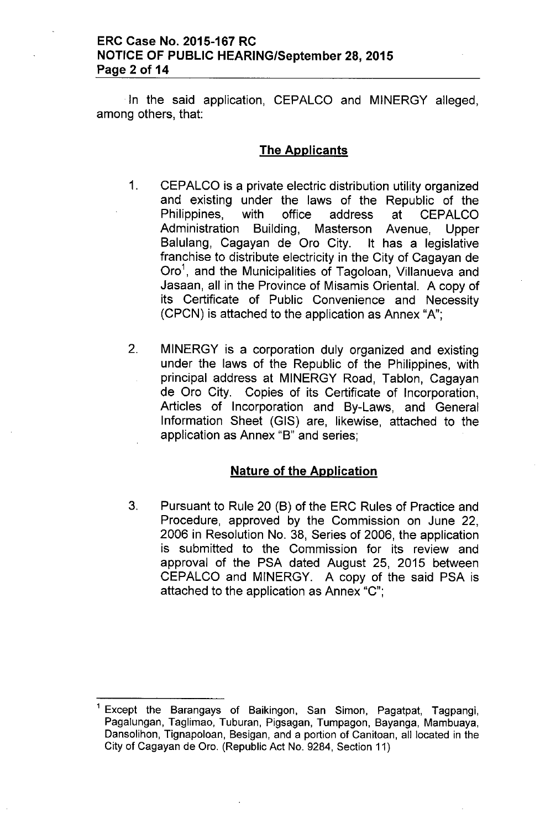## **ERC Case No. 2015-167 RC NOTICE OF PUBLIC HEARING/September 28,2015 Page 2 of 14**

In the said application, CEPALCO and MINERGY alleged, among others, that:

### **The Applicants**

- 1. CEPALCO is a private electric distribution utility organized and existing under the laws of the Republic of the Philippines, with office address at CEPALCO Administration Building, Masterson Avenue, Upper Balulang, Cagayan de Oro City. It has a legislative franchise to distribute electricity in the City of Cagayan de Oro<sup>1</sup>, and the Municipalities of Tagoloan, Villanueva and Jasaan, all in the Province of Misamis Oriental. A copy of its Certificate of Public Convenience and Necessity (CPCN) is attached to the application as Annex "A";
- 2. MINERGY is a corporation duly organized and existing under the laws of the Republic of the Philippines, with principal address at MINERGY Road, Tablon, Cagayan de Oro City. Copies of its Certificate of Incorporation, Articles of Incorporation and By-Laws, and General Information Sheet (GIS) are, likewise, attached to the application as Annex "B" and series;

### **Nature of the Application**

3. Pursuant to Rule 20 (B) of the ERC Rules of Practice and Procedure, approved by the Commission on June 22, 2006 in Resolution No. 38, Series of 2006, the application is submitted to the Commission for its review and approval of the PSA dated August 25, 2015 between CEPALCO and MINERGY. A copy of the said PSA is attached to the application as Annex "C";

Except the Barangays of Baikingon, San Simon, Pagatpat, Tagpangi, Pagalungan, Taglimao, Tuburan, Pigsagan, Tumpagon, Bayanga, Mambuaya, Dansolihon, Tignapoloan, Besigan, and a portion of Canitoan, all located in the City of Cagayan de Oro. (Republic Act No. 9284, Section 11)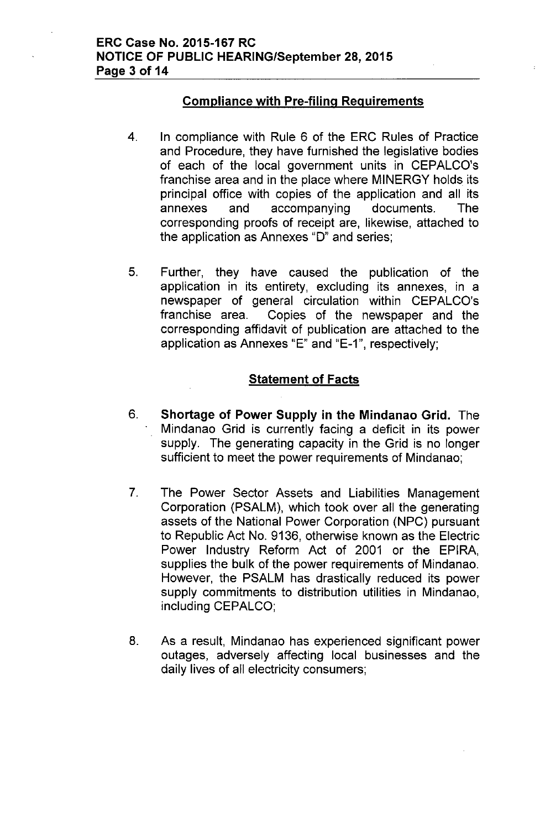# Compliance with Pre-filing Requirements

- 4. In compliance with Rule 6 of the ERC Rules of Practice and Procedure, they have furnished the legislative bodies of each of the local government units in CEPALCO's franchise area and in the place where MINERGY holds its principal office with copies of the application and all its annexes and accompanying documents. The corresponding proofs of receipt are, likewise, attached to the application as Annexes "0" and series;
- 5. Further, they have caused the publication of the application in its entirety, excluding its annexes, in a newspaper of general circulation within CEPALCO's franchise area. Copies of the newspaper and the corresponding affidavit of publication are attached to the application as Annexes "E" and "E-1", respectively;

# **Statement of Facts**

- 6. Shortage of Power Supply in the Mindanao Grid. The Mindanao Grid is currently facing a deficit in its power supply. The generating capacity in the Grid is no longer sufficient to meet the power requirements of Mindanao;
- 7. The Power Sector Assets and Liabilities Management Corporation (PSALM), which took over all the generating assets of the National Power Corporation (NPC) pursuant to Republic Act No. 9136, otherwise known as the Electric Power Industry Reform Act of 2001 or the EPIRA, supplies the bulk of the power requirements of Mindanao. However, the PSALM has drastically reduced its power supply commitments to distribution utilities in Mindanao, including CEPALCO;
- 8. As a result, Mindanao has experienced significant power outages, adversely affecting local businesses and the daily lives of all electricity consumers;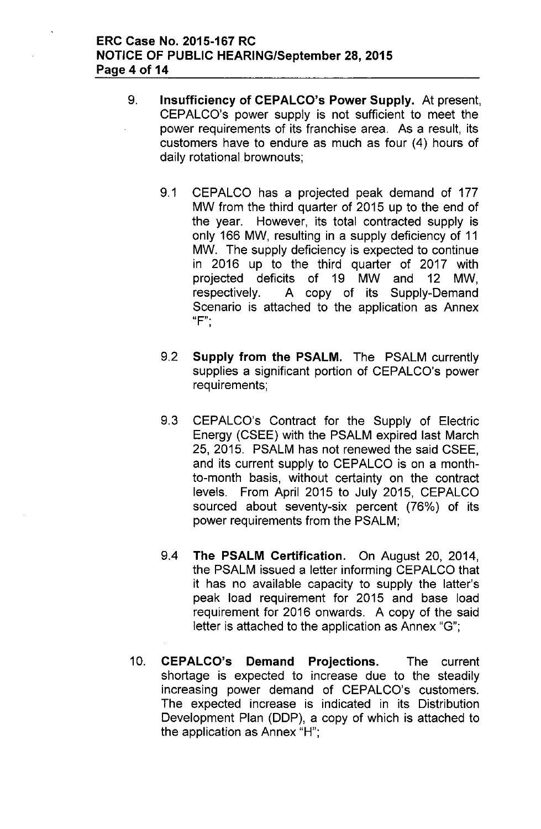- 9. Insufficiency of CEPALCO's Power Supply. At present, CEPALCO's power supply is not sufficient to meet the power requirements of its franchise area. As a result, its customers have to endure as much as four (4) hours of daily rotational brownouts;
	- 9.1 CEPALCO has a projected peak demand of 177 MW from the third quarter of 2015 up to the end of the year. However, its total contracted supply is only 166 MW, resulting in a supply deficiency of 11 MW. The supply deficiency is expected to continue in 2016 up to the third quarter of 2017 with projected deficits of 19 MW and 12 MW, respectively. A copy of its Supply-Demand Scenario is attached to the application as Annex  $"F"$ .
	- 9.2 Supply from the PSALM. The PSALM currently supplies a significant portion of CEPALCO's power requirements;
	- 9.3 CEPALCO's Contract for the Supply of Electric Energy (CSEE) with the PSALM expired last March 25, 2015. PSALM has not renewed the said CSEE, and its current supply to CEPALCO is on a monthto-month basis, without certainty on the contract levels. From April 2015 to July 2015, CEPALCO sourced about seventy-six percent (76%) of its power requirements from the PSALM;
	- 9.4 The PSALM Certification. On August 20, 2014, the PSALM issued a letter informing CEPALCO that it has no available capacity to supply the latter's peak load requirement for 2015 and base load requirement for 2016 onwards. A copy of the said letter is attached to the application as Annex "G";
- 10. CEPALCO's Demand Projections. The current shortage is expected to increase due to the steadily increasing power demand of CEPALCO's customers. The expected increase is indicated in its Distribution Development Plan (DDP), a copy of which is attached to the application as Annex "H";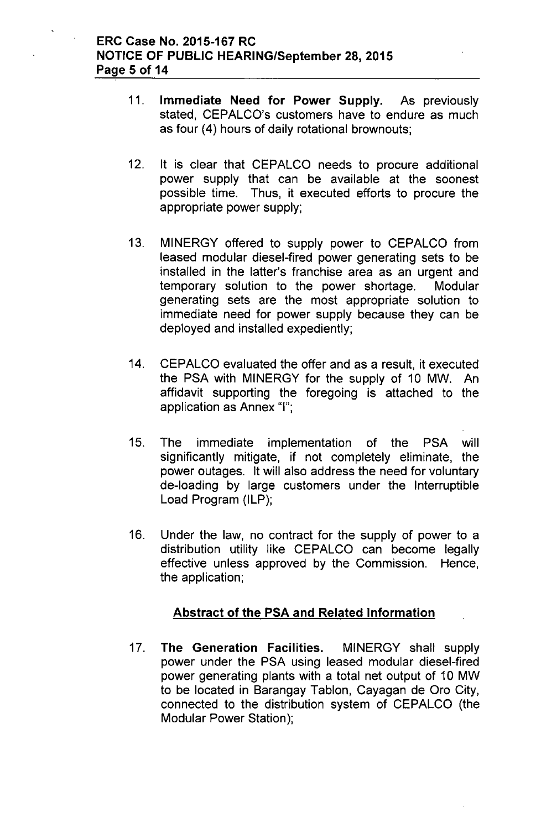- 11. Immediate Need for Power Supply. As previously stated, CEPALCO's customers have to endure as much as four (4) hours of daily rotational brownouts;
- 12. It is clear that CEPALCO needs to procure additional power supply that can be available at the soonest possible time. Thus, it executed efforts to procure the appropriate power supply;
- 13. MINERGY offered to supply power to CEPALCO from leased modular diesel-fired power generating sets to be installed in the latter's franchise area as an urgent and temporary solution to the power shortage. Modular generating sets are the most appropriate solution to immediate need for power supply because they can be deployed and installed expediently;
- 14. CEPALCO evaluated the offer and as a result, it executed the PSA with MINERGY for the supply of 10 MW. An affidavit supporting the foregoing is attached to the application as Annex "I";
- 15. The immediate implementation of the PSA will significantly mitigate, if not completely eliminate, the power outages. It will also address the need for voluntary de-loading by large customers under the Interruptible Load Program (ILP);
- 16. Under the law, no contract for the supply of power to a distribution utility like CEPALCO can become legally effective unless approved by the Commission. Hence, the application;

# Abstract of the PSA and Related Information

17. The Generation Facilities. MINERGY shall supply power under the PSA using leased modular diesel-fired power generating plants with a total net output of 10 MW to be located in Barangay Tablon, Cayagan de Oro City, connected to the distribution system of CEPALCO (the Modular Power Station);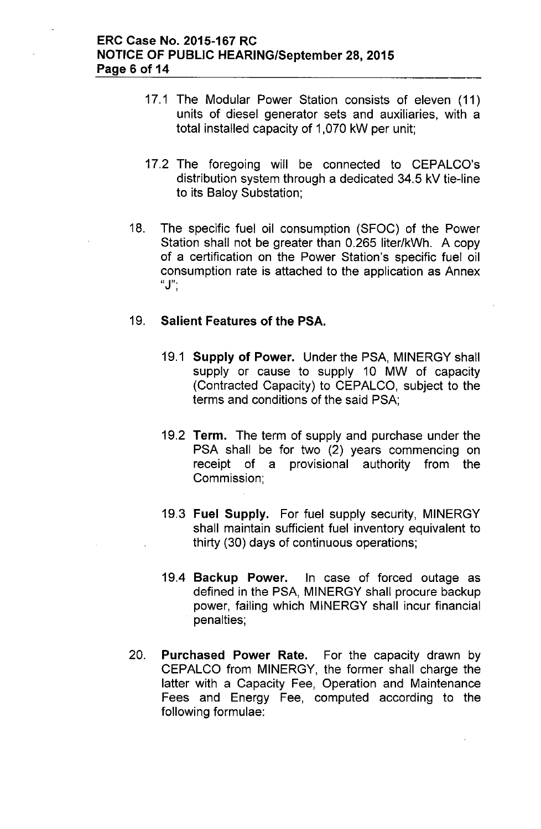- 17.1 The Modular Power Station consists of eleven (11) units of diesel generator sets and auxiliaries, with a total installed capacity of 1,070 kW per unit;
- 17.2 The foregoing will be connected to CEPALCO's distribution system through a dedicated 34.5 kV tie-line to its Baloy Substation;
- 18. The specific fuel oil consumption (SFOC) of the Power Station shall not be greater than 0.265 liter/kWh. A copy of a certification on the Power Station's specific fuel oil consumption rate is attached to the application as Annex **"J'"** ,

# 19. **Salient Features of the PSA.**

- 19.1 **Supply of Power.** Under the PSA, MINERGY shall supply or cause to supply 10 MW of capacity (Contracted Capacity) to CEPALCO, subject to the terms and conditions of the said PSA;
- 19.2 **Term.** The term of supply and purchase under the PSA shall be for two (2) years commencing on receipt of a provisional authority from the Commission;
- 19.3 **Fuel Supply.** For fuel supply security, MINERGY shall maintain sufficient fuel inventory equivalent to thirty (30) days of continuous operations;
- 19.4 **Backup Power.** In case of forced outage as defined in the PSA, MINERGY shall procure backup power, failing which MINERGY shall incur financial penalties;
- 20. **Purchased Power Rate.** For the capacity drawn by CEPALCO from MINERGY, the former shall charge the latter with a Capacity Fee, Operation and Maintenance Fees and Energy Fee, computed according to the following formulae: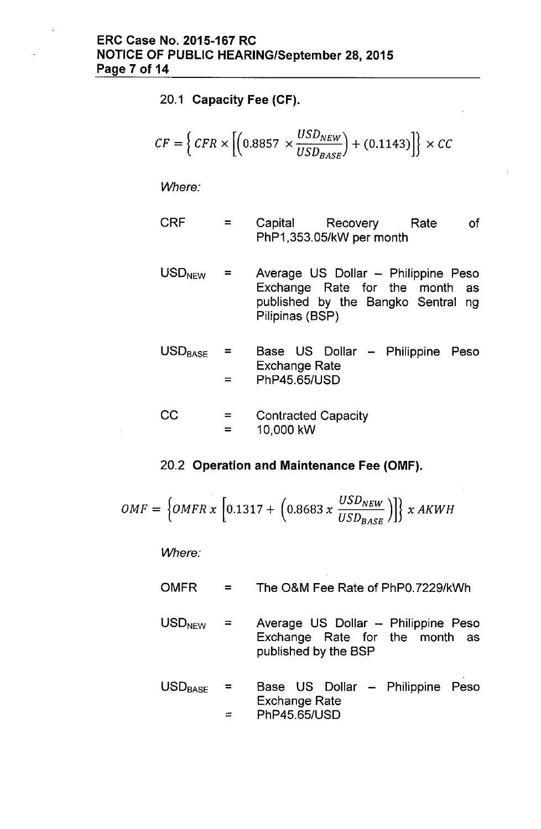20.1 Capacity Fee (CF).

$$
CF = \left\{ CFR \times \left[ \left( 0.8857 \times \frac{USD_{NEW}}{USD_{BASE}} \right) + (0.1143) \right] \right\} \times CC
$$

*Where:*

- CRF = Capital Recovery Rate PhP1,353.05/kW per month of
- $USD<sub>NFW</sub>$  = Average US Dollar - Philippine Peso Exchange Rate for the month as published by the Bangko Sentral ng Pilipinas (BSP)
- $\text{USD}_{\text{BASE}}$  = = Base US Dollar - Philippine Peso Exchange Rate PhP45.65/USD

$$
CC = \tContracted Capacity= 10,000 kW
$$

### 20.2 Operation and Maintenance Fee (OMF).

$$
OMF = \left\{OMFR \times \left[0.1317 + \left(0.8683 \times \frac{USD_{NEW}}{USD_{BASE}}\right)\right]\right\} \times AKWH
$$

*Where:*

- OMFR = The O&M Fee Rate of PhPO.7229/kWh
- $USD<sub>NEW</sub>$  = Average US Dollar - Philippine Peso Exchange Rate for the month as published by the BSP
- $USD_{BASE}$  =  $=$ Base US Dollar Philippine PesoExchange Rate PhP45.65/USD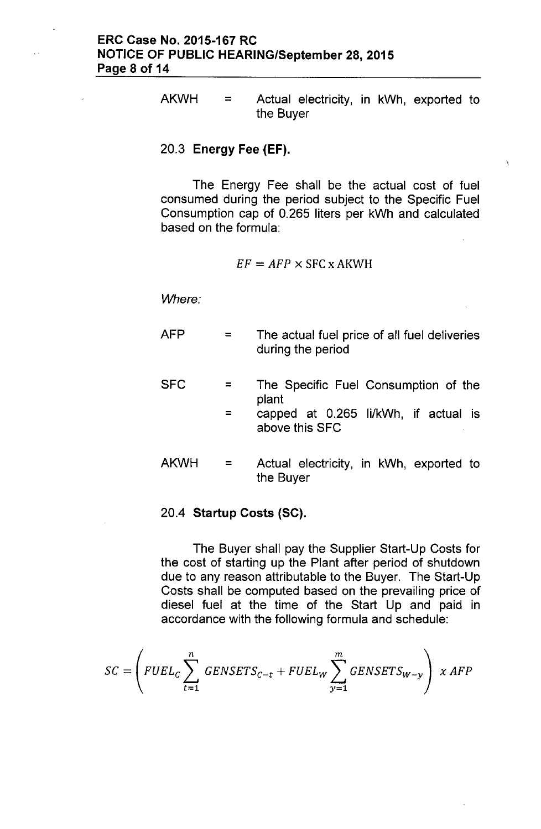$AKWH =$  Actual electricity, in kWh, exported to the Buyer

### 20.3 Energy Fee (EF).

The Energy Fee shall be the actual cost of fuel consumed during the period subject to the Specific Fuel Consumption cap of 0.265 liters per kWh and calculated based on the formula:

$$
EF = AFP \times \text{SFC} \times \text{AKWH}
$$

*Where:*

| AFP  | The actual fuel price of all fuel deliveries<br>during the period |  |  |  |
|------|-------------------------------------------------------------------|--|--|--|
| SFC  | The Specific Fuel Consumption of the<br>plant                     |  |  |  |
|      | capped at 0.265 li/kWh, if actual is<br>above this SFC            |  |  |  |
| AKWH | Actual electricity, in kWh, exported to<br>the Buyer              |  |  |  |

#### 20.4 Startup Costs (SC).

The Buyer shall pay the Supplier Start-Up Costs for the cost of starting up the Plant after period of shutdown due to any reason attributable to the Buyer. The Start-Up Costs shall be computed based on the prevailing price of diesel fuel at the time of the Start Up and paid in accordance with the following formula and schedule:

$$
SC = \left(FUEL_C \sum_{t=1}^{n} GENSETS_{C-t} + FUEL_W \sum_{y=1}^{m} GENSETS_{W-y}\right) \times AFP
$$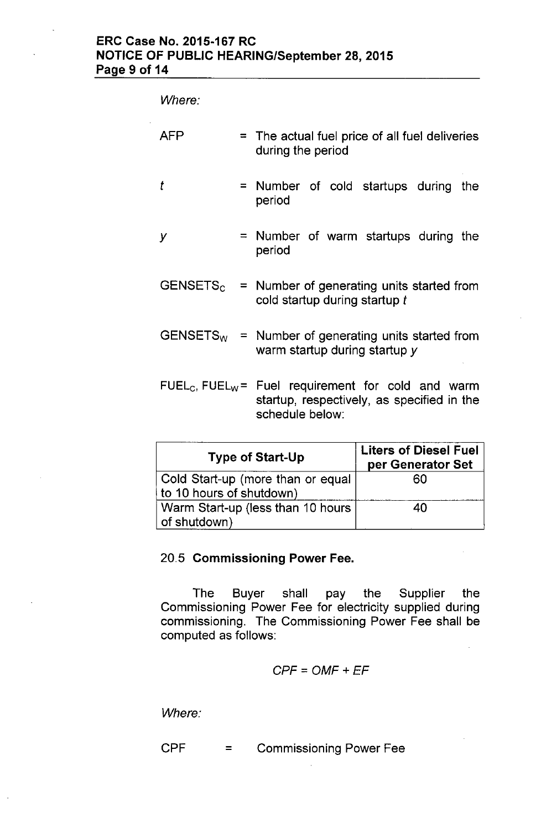# ERC Case No. 2015-167 RC NOTICE OF PUBLIC HEARING/September 28,2015 Page 9 of 14

*Where:*

| AFP |  | $=$ The actual fuel price of all fuel deliveries<br>during the period                                                                       |  |  |  |  |
|-----|--|---------------------------------------------------------------------------------------------------------------------------------------------|--|--|--|--|
| t   |  | = Number of cold startups during<br>the<br>period                                                                                           |  |  |  |  |
| у   |  | = Number of warm startups during the<br>period                                                                                              |  |  |  |  |
|     |  | $GENSETSc$ = Number of generating units started from<br>cold startup during startup t                                                       |  |  |  |  |
|     |  | $GENSETS_W$ = Number of generating units started from<br>warm startup during startup y                                                      |  |  |  |  |
|     |  | FUEL <sub>C</sub> , FUEL <sub>W</sub> = Fuel requirement for cold and warm<br>startup, respectively, as specified in the<br>schedule below: |  |  |  |  |

| <b>Type of Start-Up</b>                                       | <b>Liters of Diesel Fuel</b><br>per Generator Set |  |  |
|---------------------------------------------------------------|---------------------------------------------------|--|--|
| Cold Start-up (more than or equal<br>to 10 hours of shutdown) | 60                                                |  |  |
| Warm Start-up (less than 10 hours<br>of shutdown)             | 40                                                |  |  |

# 20.5 Commissioning Power Fee.

The Buyer shall pay the Supplier the Commissioning Power Fee for electricity supplied during commissioning. The Commissioning Power Fee shall be computed as follows:

$$
CPF = OMF + EF
$$

*Where:*

CPF = Commissioning Power Fee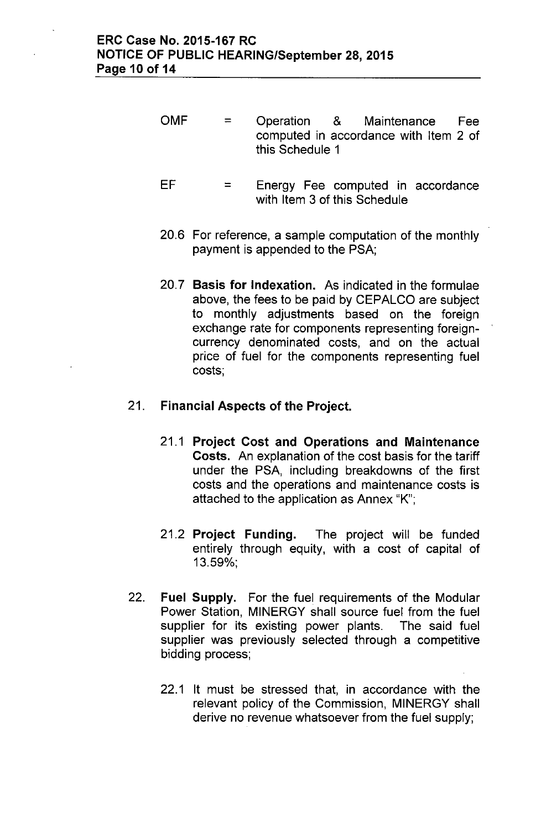- OMF  $=$ Operation & Maintenance Fee computed in accordance with Item 2 of this Schedule 1
- EF  $=$ Energy Fee computed in accordance with Item 3 of this Schedule
- 20.6 For reference, a sample computation of the monthly payment is appended to the PSA;
- 20.7 Basis for Indexation. As indicated in the formulae above, the fees to be paid by CEPALCO are subject to monthly adjustments based on the foreign exchange rate for components representing foreigncurrency denominated costs, and on the actual price of fuel for the components representing fuel costs;

# 21. Financial Aspects of the Project.

- 21.1 Project Cost and Operations and Maintenance Costs. An explanation of the cost basis for the tariff under the PSA, including breakdowns of the first costs and the operations and maintenance costs is attached to the application as Annex "K";
- 21.2 Project Funding. The project will be funded entirely through equity, with a cost of capital of 13.59%;
- 22. Fuel Supply. For the fuel requirements of the Modular Power Station, MINERGY shall source fuel from the fuel supplier for its existing power plants. The said fuel supplier was previously selected through a competitive bidding process;
	- 22.1 It must be stressed that, in accordance with the relevant policy of the Commission, MINERGY shall derive no revenue whatsoever from the fuel supply;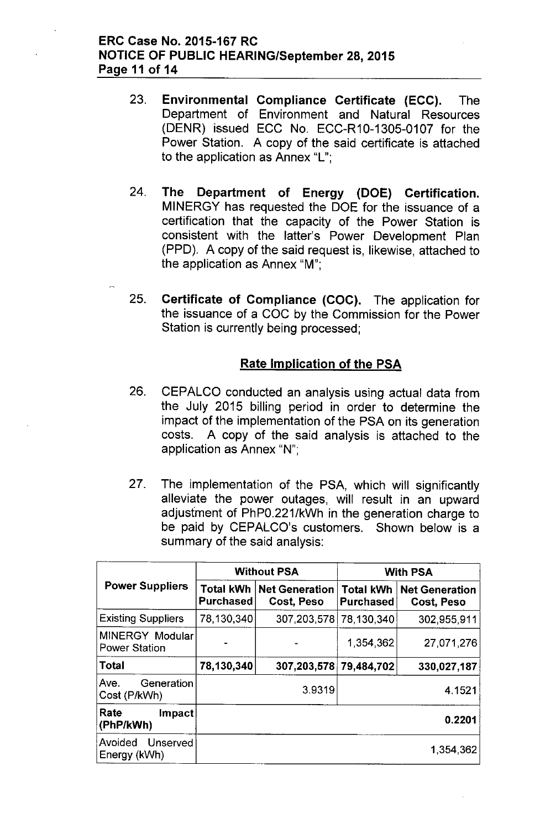# ERC Case No. 2015-167 RC NOTICE OF PUBLIC HEARING/September 28,2015 Page 11 of 14

- 23. Environmental Compliance Certificate (ECC). The Department of Environment and Natural Resources (DENR) issued ECC No. ECC-R10-1305-0107 for the Power Station. A copy of the said certificate is attached to the application as Annex "L";
- 24. The Department of Energy (DOE) Certification. MINERGY has requested the DOE for the issuance of a certification that the capacity of the Power Station is consistent with the latter's Power Development Plan (PPD). A copy of the said request is, likewise, attached to the application as Annex "M";
- 25. Certificate of Compliance (CDC). The application for the issuance of a COC by the Commission for the Power Station is currently being processed;

# Rate Implication of the PSA

- 26. CEPALCO conducted an analysis using actual data from the July 2015 billing period in order to determine the impact of the implementation of the PSA on its generation costs. A copy of the said analysis is attached to the application as Annex "N";
- 27. The implementation of the PSA, which will significantly alleviate the power outages, will result in an upward adjusfment of PhPO.221/kWh in the generation charge to be paid by CEPALCO's customers. Shown below is a summary of the said analysis:

|                                         |                               | <b>Without PSA</b>                  | <b>With PSA</b>                      |                                     |  |
|-----------------------------------------|-------------------------------|-------------------------------------|--------------------------------------|-------------------------------------|--|
| <b>Power Suppliers</b>                  | Total kWh<br><b>Purchased</b> | <b>Net Generation</b><br>Cost, Peso | <b>Total kWh</b><br><b>Purchased</b> | <b>Net Generation</b><br>Cost, Peso |  |
| <b>Existing Suppliers</b>               | 78,130,340                    | 307,203,578                         | 78,130,340                           | 302,955,911                         |  |
| MINERGY Modular<br><b>Power Station</b> |                               |                                     | 1,354,362                            | 27,071,276                          |  |
| <b>Total</b>                            | 78,130,340                    | 307,203,578                         | 79,484,702                           | 330,027,187                         |  |
| Ave.<br>Generation<br>Cost (P/kWh)      |                               | 39319                               | 4.1521                               |                                     |  |
| Rate<br>Impact<br>(PhP/kWh)             |                               |                                     |                                      | 0.2201                              |  |
| Avoided<br>Unserved<br>Energy (kWh)     |                               |                                     |                                      | 1.354,362                           |  |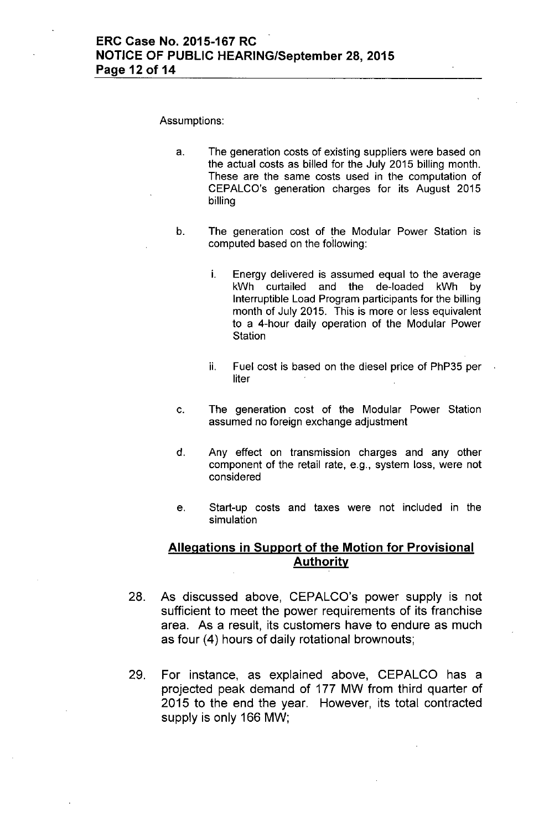#### Assumptions:

- a. The generation costs of existing suppliers were based on the actual costs as billed for the July 2015 billing month. These are the same costs used in the computation of CEPALCO's generation charges for its August 2015 billing
- b. The generation cost of the Modular Power Station is computed based on the following:
	- i. Energy delivered is assumed equal to the average kWh curtailed and the de-loaded kWh by Interruptible Load Program participants for the billing month of July 2015. This is more or less equivalent to a 4-hour daily operation of the Modular Power **Station**
	- ii. Fuel cost is based on the diesel price of PhP35 per liter
- c. The generation cost of the Modular Power Station assumed no foreign exchange adjustment
- d. Any effect on transmission charges and any other component of the retail rate, e.g., system loss, were not considered
- e. Start-up costs and taxes were not included in the simulation

## **Allegations in Support of the Motion for Provisional Authority**

- 28. As discussed above, CEPALCO's power supply is not sufficient to meet the power requirements of its franchise area. As a result, its customers have to endure as much as four (4) hours of daily rotational brownouts;
- 29. For instance, as explained above, CEPALCO has a projected peak demand of 177 MW from third quarter of 2015 to the end the year. However, its total contracted supply is only 166 MW;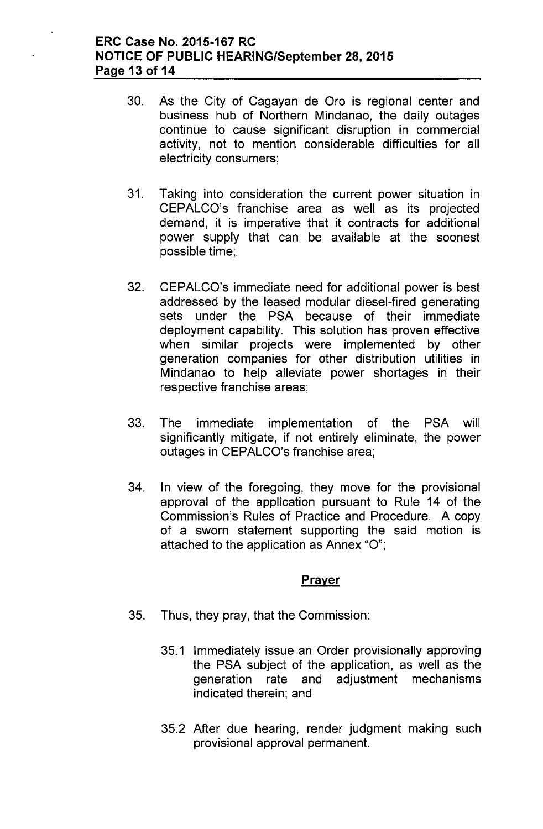# **ERC Case No. 2015-167 RC NOTICE OF PUBLIC HEARING/September 28,2015 Page 13 of 14**

- 30. As the City of Cagayan de Oro is regional center and business hub of Northern Mindanao, the daily outages continue to cause significant disruption in commercial activity, not to mention considerable difficulties for all electricity consumers;
- 31. Taking into consideration the current power situation in CEPALCO's franchise area as well as its projected demand, it is imperative that it contracts for additional power supply that can be available at the soonest possible time;
- 32. CEPALCO's immediate need for additional power is best addressed by the leased modular diesel-fired generating sets under the PSA because **of** their immediate deployment capability. This solution has proven effective when similar projects were implemented by other generation companies for other distribution utilities in Mindanao to help alleviate power shortages in their respective franchise areas;
- 33. The immediate implementation of the PSA will significantly mitigate, if not entirely eliminate, the power outages in CEPALCO's franchise area;
- 34. **In** view of the foregoing, they move for the provisional approval of the application pursuant to Rule 14 of the Commission's Rules of Practice and Procedure. A copy of a sworn statement supporting the said motion is attached to the application as Annex "0";

# **Prayer**

- 35. Thus, they pray, that the Commission:
	- 35.1 Immediately issue an Order provisionally approving the PSA subject of the application, as well as the generation rate and adjustment mechanisms indicated therein; and
	- 35.2 After due hearing, render judgment making such provisional approval permanent.